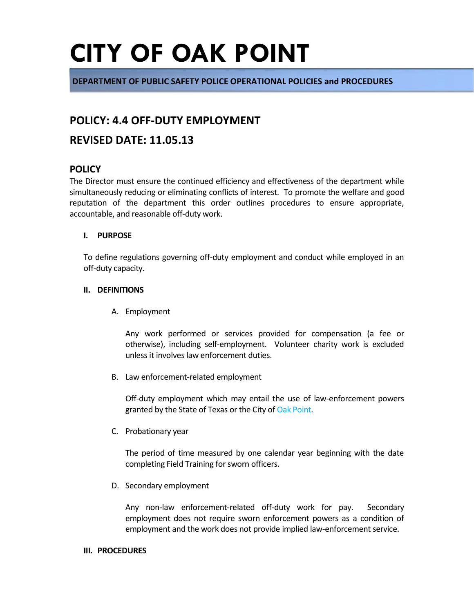**DEPARTMENT OF PUBLIC SAFETY POLICE OPERATIONAL POLICIES and PROCEDURES**

## **POLICY: 4.4 OFF-DUTY EMPLOYMENT**

### **REVISED DATE: 11.05.13**

### **POLICY**

The Director must ensure the continued efficiency and effectiveness of the department while simultaneously reducing or eliminating conflicts of interest. To promote the welfare and good reputation of the department this order outlines procedures to ensure appropriate, accountable, and reasonable off-duty work.

#### **I. PURPOSE**

To define regulations governing off-duty employment and conduct while employed in an off-duty capacity.

#### **II. DEFINITIONS**

A. Employment

Any work performed or services provided for compensation (a fee or otherwise), including self-employment. Volunteer charity work is excluded unless it involves law enforcement duties.

B. Law enforcement-related employment

Off-duty employment which may entail the use of law-enforcement powers granted by the State of Texas or the City of Oak Point.

C. Probationary year

The period of time measured by one calendar year beginning with the date completing Field Training for sworn officers.

D. Secondary employment

Any non-law enforcement-related off-duty work for pay. Secondary employment does not require sworn enforcement powers as a condition of employment and the work does not provide implied law-enforcement service.

#### **III. PROCEDURES**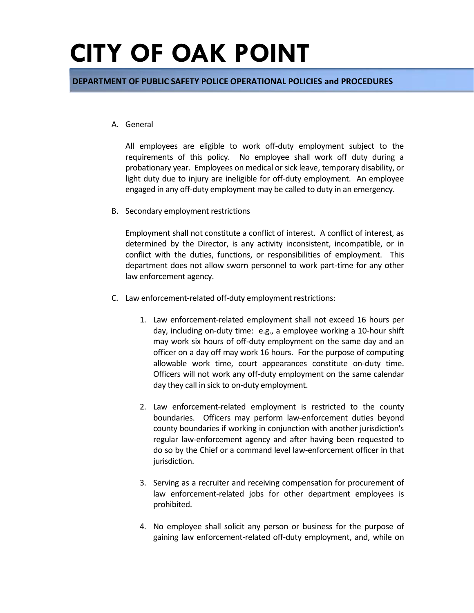**DEPARTMENT OF PUBLIC SAFETY POLICE OPERATIONAL POLICIES and PROCEDURES**

#### A. General

All employees are eligible to work off-duty employment subject to the requirements of this policy. No employee shall work off duty during a probationary year. Employees on medical or sick leave, temporary disability, or light duty due to injury are ineligible for off-duty employment. An employee engaged in any off-duty employment may be called to duty in an emergency.

B. Secondary employment restrictions

Employment shall not constitute a conflict of interest. A conflict of interest, as determined by the Director, is any activity inconsistent, incompatible, or in conflict with the duties, functions, or responsibilities of employment. This department does not allow sworn personnel to work part-time for any other law enforcement agency.

- C. Law enforcement-related off-duty employment restrictions:
	- 1. Law enforcement-related employment shall not exceed 16 hours per day, including on-duty time: e.g., a employee working a 10-hour shift may work six hours of off-duty employment on the same day and an officer on a day off may work 16 hours. For the purpose of computing allowable work time, court appearances constitute on-duty time. Officers will not work any off-duty employment on the same calendar day they call in sick to on-duty employment.
	- 2. Law enforcement-related employment is restricted to the county boundaries. Officers may perform law-enforcement duties beyond county boundaries if working in conjunction with another jurisdiction's regular law-enforcement agency and after having been requested to do so by the Chief or a command level law-enforcement officer in that jurisdiction.
	- 3. Serving as a recruiter and receiving compensation for procurement of law enforcement-related jobs for other department employees is prohibited.
	- 4. No employee shall solicit any person or business for the purpose of gaining law enforcement-related off-duty employment, and, while on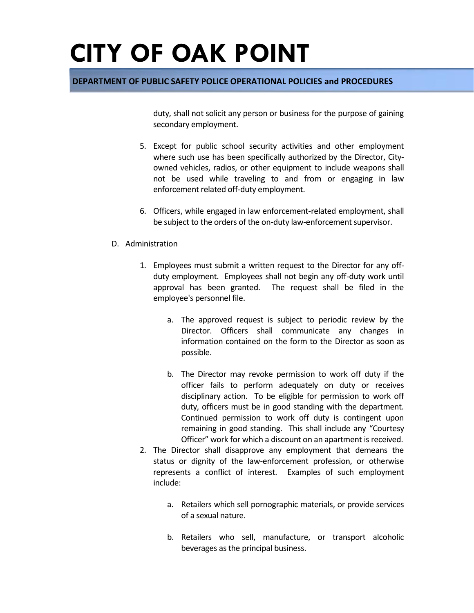### **DEPARTMENT OF PUBLIC SAFETY POLICE OPERATIONAL POLICIES and PROCEDURES**

duty, shall not solicit any person or business for the purpose of gaining secondary employment.

- 5. Except for public school security activities and other employment where such use has been specifically authorized by the Director, Cityowned vehicles, radios, or other equipment to include weapons shall not be used while traveling to and from or engaging in law enforcement related off-duty employment.
- 6. Officers, while engaged in law enforcement-related employment, shall be subject to the orders of the on-duty law-enforcement supervisor.

#### D. Administration

- 1. Employees must submit a written request to the Director for any offduty employment. Employees shall not begin any off-duty work until approval has been granted. The request shall be filed in the employee's personnel file.
	- a. The approved request is subject to periodic review by the Director. Officers shall communicate any changes in information contained on the form to the Director as soon as possible.
	- b. The Director may revoke permission to work off duty if the officer fails to perform adequately on duty or receives disciplinary action. To be eligible for permission to work off duty, officers must be in good standing with the department. Continued permission to work off duty is contingent upon remaining in good standing. This shall include any "Courtesy Officer" work for which a discount on an apartment is received.
- 2. The Director shall disapprove any employment that demeans the status or dignity of the law-enforcement profession, or otherwise represents a conflict of interest. Examples of such employment include:
	- a. Retailers which sell pornographic materials, or provide services of a sexual nature.
	- b. Retailers who sell, manufacture, or transport alcoholic beverages as the principal business.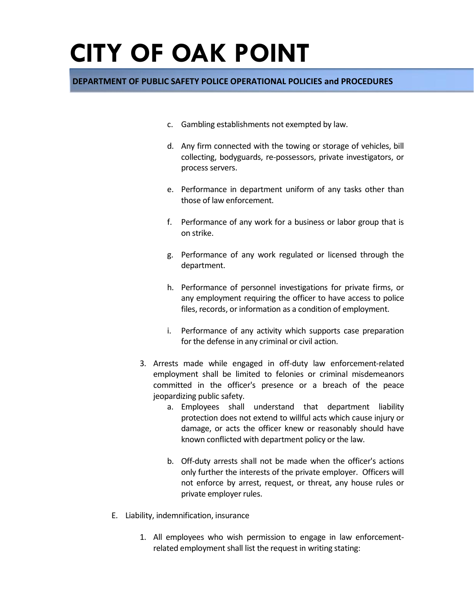### **DEPARTMENT OF PUBLIC SAFETY POLICE OPERATIONAL POLICIES and PROCEDURES**

- c. Gambling establishments not exempted by law.
- d. Any firm connected with the towing or storage of vehicles, bill collecting, bodyguards, re-possessors, private investigators, or process servers.
- e. Performance in department uniform of any tasks other than those of law enforcement.
- f. Performance of any work for a business or labor group that is on strike.
- g. Performance of any work regulated or licensed through the department.
- h. Performance of personnel investigations for private firms, or any employment requiring the officer to have access to police files, records, or information as a condition of employment.
- i. Performance of any activity which supports case preparation for the defense in any criminal or civil action.
- 3. Arrests made while engaged in off-duty law enforcement-related employment shall be limited to felonies or criminal misdemeanors committed in the officer's presence or a breach of the peace jeopardizing public safety.
	- a. Employees shall understand that department liability protection does not extend to willful acts which cause injury or damage, or acts the officer knew or reasonably should have known conflicted with department policy or the law.
	- b. Off-duty arrests shall not be made when the officer's actions only further the interests of the private employer. Officers will not enforce by arrest, request, or threat, any house rules or private employer rules.
- E. Liability, indemnification, insurance
	- 1. All employees who wish permission to engage in law enforcementrelated employment shall list the request in writing stating: